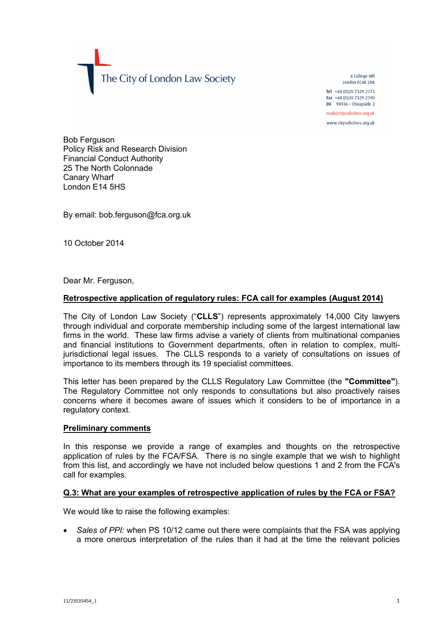The City of London Law Society

4 College Hill London FC4R 2RB Tel +44 (0) 20 7329 2173 Fax +44 (0)20 7329 2190 DX  $98936 -$  Cheapside 2 mail@citysolicitors.org.uk

www.citysolicitors.org.uk

Bob Ferguson Policy Risk and Research Division Financial Conduct Authority 25 The North Colonnade Canary Wharf London E14 5HS

By email: bob.ferguson@fca.org.uk

10 October 2014

Dear Mr. Ferguson.

## **Retrospective application of regulatory rules: FCA call for examples (August 2014)**

The City of London Law Society ("**CLLS**") represents approximately 14,000 City lawyers through individual and corporate membership including some of the largest international law firms in the world. These law firms advise a variety of clients from multinational companies and financial institutions to Government departments, often in relation to complex, multijurisdictional legal issues. The CLLS responds to a variety of consultations on issues of importance to its members through its 19 specialist committees.

This letter has been prepared by the CLLS Regulatory Law Committee (the **"Committee"**). The Regulatory Committee not only responds to consultations but also proactively raises concerns where it becomes aware of issues which it considers to be of importance in a regulatory context.

### **Preliminary comments**

In this response we provide a range of examples and thoughts on the retrospective application of rules by the FCA/FSA. There is no single example that we wish to highlight from this list, and accordingly we have not included below questions 1 and 2 from the FCA's call for examples.

#### **Q.3: What are your examples of retrospective application of rules by the FCA or FSA?**

We would like to raise the following examples:

 *Sales of PPI:* when PS 10/12 came out there were complaints that the FSA was applying a more onerous interpretation of the rules than it had at the time the relevant policies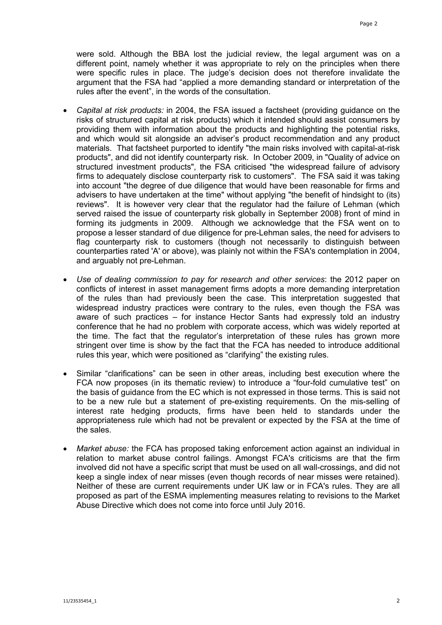were sold. Although the BBA lost the judicial review, the legal argument was on a different point, namely whether it was appropriate to rely on the principles when there were specific rules in place. The judge's decision does not therefore invalidate the argument that the FSA had "applied a more demanding standard or interpretation of the rules after the event", in the words of the consultation.

- *Capital at risk products:* in 2004, the FSA issued a factsheet (providing guidance on the risks of structured capital at risk products) which it intended should assist consumers by providing them with information about the products and highlighting the potential risks, and which would sit alongside an adviser's product recommendation and any product materials. That factsheet purported to identify "the main risks involved with capital-at-risk products", and did not identify counterparty risk. In October 2009, in "Quality of advice on structured investment products", the FSA criticised "the widespread failure of advisory firms to adequately disclose counterparty risk to customers". The FSA said it was taking into account "the degree of due diligence that would have been reasonable for firms and advisers to have undertaken at the time" without applying "the benefit of hindsight to (its) reviews". It is however very clear that the regulator had the failure of Lehman (which served raised the issue of counterparty risk globally in September 2008) front of mind in forming its judgments in 2009. Although we acknowledge that the FSA went on to propose a lesser standard of due diligence for pre-Lehman sales, the need for advisers to flag counterparty risk to customers (though not necessarily to distinguish between counterparties rated 'A' or above), was plainly not within the FSA's contemplation in 2004, and arguably not pre-Lehman.
- *Use of dealing commission to pay for research and other services*: the 2012 paper on conflicts of interest in asset management firms adopts a more demanding interpretation of the rules than had previously been the case. This interpretation suggested that widespread industry practices were contrary to the rules, even though the FSA was aware of such practices – for instance Hector Sants had expressly told an industry conference that he had no problem with corporate access, which was widely reported at the time. The fact that the regulator's interpretation of these rules has grown more stringent over time is show by the fact that the FCA has needed to introduce additional rules this year, which were positioned as "clarifying" the existing rules.
- Similar "clarifications" can be seen in other areas, including best execution where the FCA now proposes (in its thematic review) to introduce a "four-fold cumulative test" on the basis of guidance from the EC which is not expressed in those terms. This is said not to be a new rule but a statement of pre-existing requirements. On the mis-selling of interest rate hedging products, firms have been held to standards under the appropriateness rule which had not be prevalent or expected by the FSA at the time of the sales.
- *Market abuse:* the FCA has proposed taking enforcement action against an individual in relation to market abuse control failings. Amongst FCA's criticisms are that the firm involved did not have a specific script that must be used on all wall-crossings, and did not keep a single index of near misses (even though records of near misses were retained). Neither of these are current requirements under UK law or in FCA's rules. They are all proposed as part of the ESMA implementing measures relating to revisions to the Market Abuse Directive which does not come into force until July 2016.